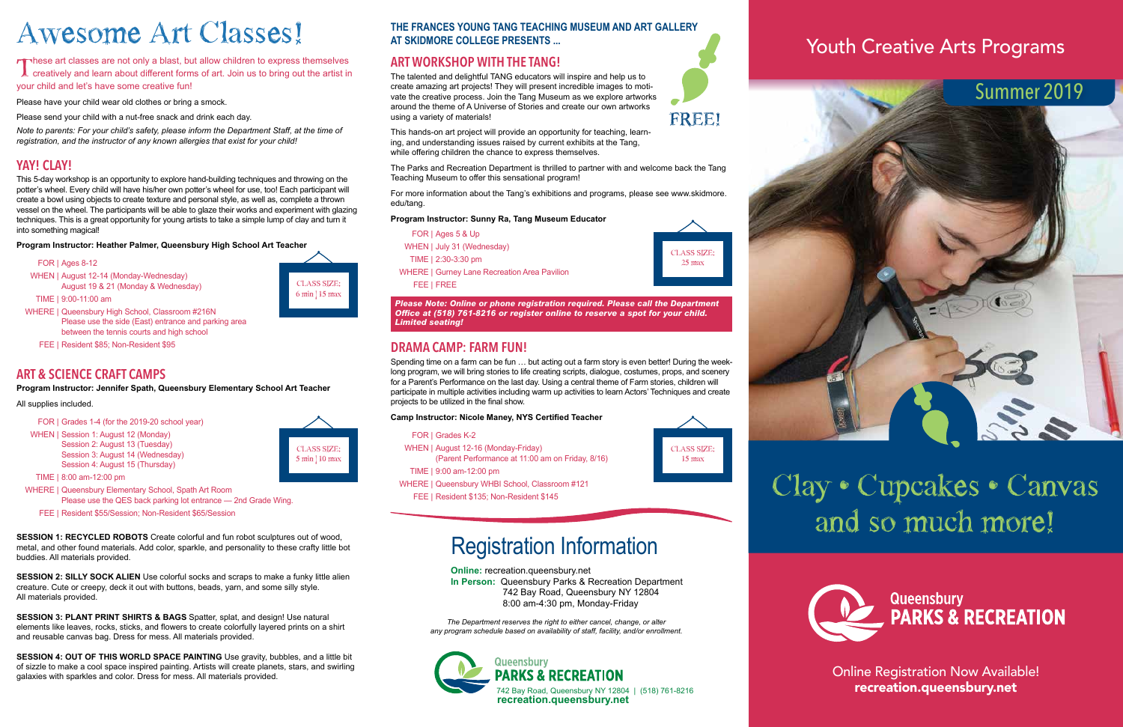

## Youth Creative Arts Programs

Online Registration Now Available! recreation.queensbury.net

#### **THE FRANCES YOUNG TANG TEACHING MUSEUM AND ART GALLERY AT SKIDMORE COLLEGE PRESENTS ...**

### **ART WORKSHOP WITH THE TANG!**

The talented and delightful TANG educators will inspire and help us to create amazing art projects! They will present incredible images to motivate the creative process. Join the Tang Museum as we explore artworks around the theme of A Universe of Stories and create our own artworks using a variety of materials!

This hands-on art project will provide an opportunity for teaching, learning, and understanding issues raised by current exhibits at the Tang, while offering children the chance to express themselves.

These art classes are not only a blast, but allow children to express themselves<br>creatively and learn about different forms of art. Join us to bring out the artist in<br>the second part in funk your child and let's have some creative fun!

> The Parks and Recreation Department is thrilled to partner with and welcome back the Tang Teaching Museum to offer this sensational program!

> For more information about the Tang's exhibitions and programs, please see www.skidmore. edu/tang.

#### **Program Instructor: Sunny Ra, Tang Museum Educator**

- FOR | Ages 5 & Up
- WHEN | July 31 (Wednesday)
- TIME | 2:30-3:30 pm
- WHERE | Gurney Lane Recreation Area Pavilion

FEE | FREE

*Please Note: Online or phone registration required. Please call the Department Office at (518) 761-8216 or register online to reserve a spot for your child. Limited seating!*

Please have your child wear old clothes or bring a smock.

Please send your child with a nut-free snack and drink each day.

*Note to parents: For your child's safety, please inform the Department Staff, at the time of registration, and the instructor of any known allergies that exist for your child!*

### **YAY! CLAY!**

This 5-day workshop is an opportunity to explore hand-building techniques and throwing on the potter's wheel. Every child will have his/her own potter's wheel for use, too! Each participant will create a bowl using objects to create texture and personal style, as well as, complete a thrown vessel on the wheel. The participants will be able to glaze their works and experiment with glazing techniques. This is a great opportunity for young artists to take a simple lump of clay and turn it into something magical!

#### **Program Instructor: Heather Palmer, Queensbury High School Art Teacher**



- WHEN | August 12-14 (Monday-Wednesday) August 19 & 21 (Monday & Wednesday)
- TIME | 9:00-11:00 am

- WHERE | Queensbury High School, Classroom #216N Please use the side (East) entrance and parking area between the tennis courts and high school
	- FEE | Resident \$85; Non-Resident \$95

### **ART & SCIENCE CRAFT CAMPS**

**Program Instructor: Jennifer Spath, Queensbury Elementary School Art Teacher**

#### All supplies included.

- FOR | Grades 1-4 (for the 2019-20 school year)
- WHEN | Session 1: August 12 (Monday) Session 2: August 13 (Tuesday)
	- Session 3: August 14 (Wednesday) Session 4: August 15 (Thursday)
- TIME | 8:00 am-12:00 pm
- WHERE | Queensbury Elementary School, Spath Art Room Please use the QES back parking lot entrance — 2nd Grade Wing.
	- FEE | Resident \$55/Session; Non-Resident \$65/Session

**SESSION 1: RECYCLED ROBOTS** Create colorful and fun robot sculptures out of wood, metal, and other found materials. Add color, sparkle, and personality to these crafty little bot buddies. All materials provided.

**SESSION 2: SILLY SOCK ALIEN** Use colorful socks and scraps to make a funky little alien creature. Cute or creepy, deck it out with buttons, beads, yarn, and some silly style. All materials provided.

**SESSION 3: PLANT PRINT SHIRTS & BAGS** Spatter, splat, and design! Use natural elements like leaves, rocks, sticks, and flowers to create colorfully layered prints on a shirt and reusable canvas bag. Dress for mess. All materials provided.

**SESSION 4: OUT OF THIS WORLD SPACE PAINTING** Use gravity, bubbles, and a little bit of sizzle to make a cool space inspired painting. Artists will create planets, stars, and swirling galaxies with sparkles and color. Dress for mess. All materials provided.

# **Clay • Cupcakes • Canvas and so much more!**



# **Awesome Art Classes!**

**CLASS SIZE: 6 min | 15 max**

> **CLASS SIZE: 5 min | 10 max**



**CLASS SIZE: 15 max**







**Online:** recreation.queensbury.net

**In Person:** Queensbury Parks & Recreation Department 742 Bay Road, Queensbury NY 12804 8:00 am-4:30 pm, Monday-Friday

*The Department reserves the right to either cancel, change, or alter any program schedule based on availability of staff, facility, and/or enrollment.*

# Registration Information

### **DRAMA CAMP: FARM FUN!**

Spending time on a farm can be fun … but acting out a farm story is even better! During the weeklong program, we will bring stories to life creating scripts, dialogue, costumes, props, and scenery for a Parent's Performance on the last day. Using a central theme of Farm stories, children will participate in multiple activities including warm up activities to learn Actors' Techniques and create projects to be utilized in the final show.

**Camp Instructor: Nicole Maney, NYS Certified Teacher**

- FOR | Grades K-2
- WHEN | August 12-16 (Monday-Friday)
- (Parent Performance at 11:00 am on Friday, 8/16)
- TIME | 9:00 am-12:00 pm
- WHERE | Queensbury WHBI School, Classroom #121
- FEE | Resident \$135; Non-Resident \$145